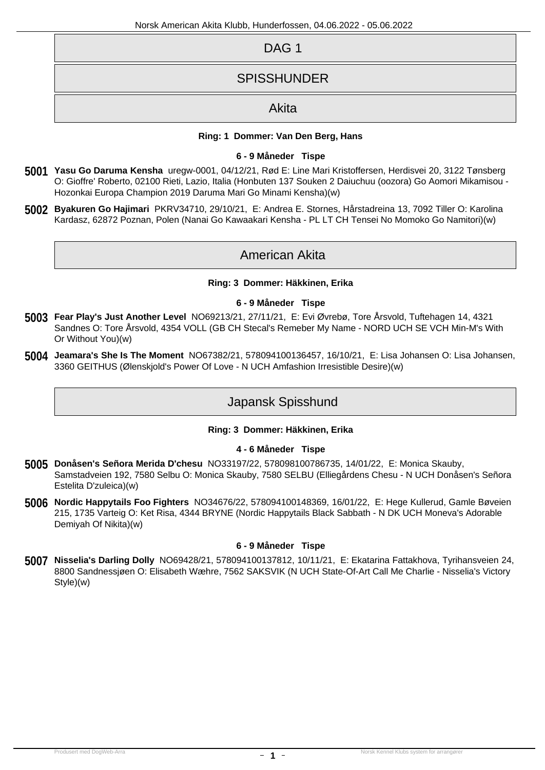| DAG <sub>1</sub>   |
|--------------------|
| <b>SPISSHUNDER</b> |
| Akita              |

## **Ring: 1 Dommer: Van Den Berg, Hans**

#### **6 - 9 Måneder Tispe**

- *5001* **Yasu Go Daruma Kensha** uregw-0001, 04/12/21, Rød E: Line Mari Kristoffersen, Herdisvei 20, 3122 Tønsberg O: Gioffre' Roberto, 02100 Rieti, Lazio, Italia (Honbuten 137 Souken 2 Daiuchuu (oozora) Go Aomori Mikamisou - Hozonkai Europa Champion 2019 Daruma Mari Go Minami Kensha)(w)
- *5002* **Byakuren Go Hajimari** PKRV34710, 29/10/21, E: Andrea E. Stornes, Hårstadreina 13, 7092 Tiller O: Karolina Kardasz, 62872 Poznan, Polen (Nanai Go Kawaakari Kensha - PL LT CH Tensei No Momoko Go Namitori)(w)

# American Akita

#### **Ring: 3 Dommer: Häkkinen, Erika**

#### **6 - 9 Måneder Tispe**

- *5003* **Fear Play's Just Another Level** NO69213/21, 27/11/21, E: Evi Øvrebø, Tore Årsvold, Tuftehagen 14, 4321 Sandnes O: Tore Årsvold, 4354 VOLL (GB CH Stecal's Remeber My Name - NORD UCH SE VCH Min-M's With Or Without You)(w)
- *5004* **Jeamara's She Is The Moment** NO67382/21, 578094100136457, 16/10/21, E: Lisa Johansen O: Lisa Johansen, 3360 GEITHUS (Ølenskjold's Power Of Love - N UCH Amfashion Irresistible Desire)(w)

## Japansk Spisshund

#### **Ring: 3 Dommer: Häkkinen, Erika**

### **4 - 6 Måneder Tispe**

- *5005* **Donåsen's Señora Merida D'chesu** NO33197/22, 578098100786735, 14/01/22, E: Monica Skauby, Samstadveien 192, 7580 Selbu O: Monica Skauby, 7580 SELBU (Elliegårdens Chesu - N UCH Donåsen's Señora Estelita D'zuleica)(w)
- *5006* **Nordic Happytails Foo Fighters** NO34676/22, 578094100148369, 16/01/22, E: Hege Kullerud, Gamle Bøveien 215, 1735 Varteig O: Ket Risa, 4344 BRYNE (Nordic Happytails Black Sabbath - N DK UCH Moneva's Adorable Demiyah Of Nikita)(w)

### **6 - 9 Måneder Tispe**

*5007* **Nisselia's Darling Dolly** NO69428/21, 578094100137812, 10/11/21, E: Ekatarina Fattakhova, Tyrihansveien 24, 8800 Sandnessjøen O: Elisabeth Wæhre, 7562 SAKSVIK (N UCH State-Of-Art Call Me Charlie - Nisselia's Victory Style)(w)